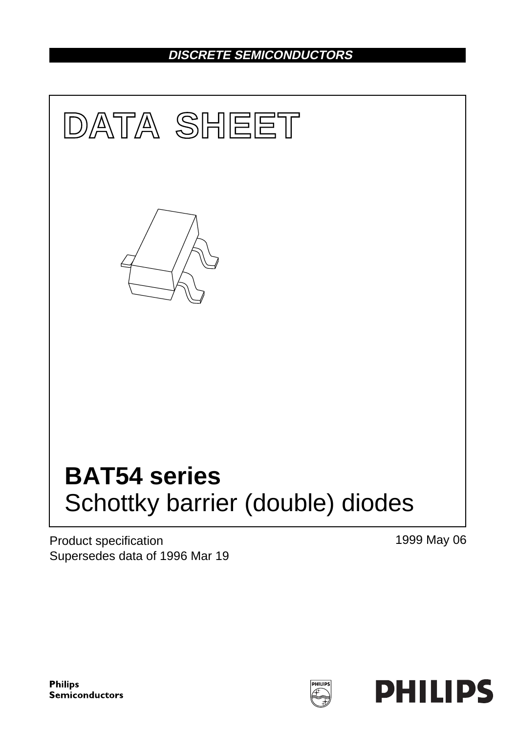## **DISCRETE SEMICONDUCTORS**



Product specification Supersedes data of 1996 Mar 19 1999 May 06

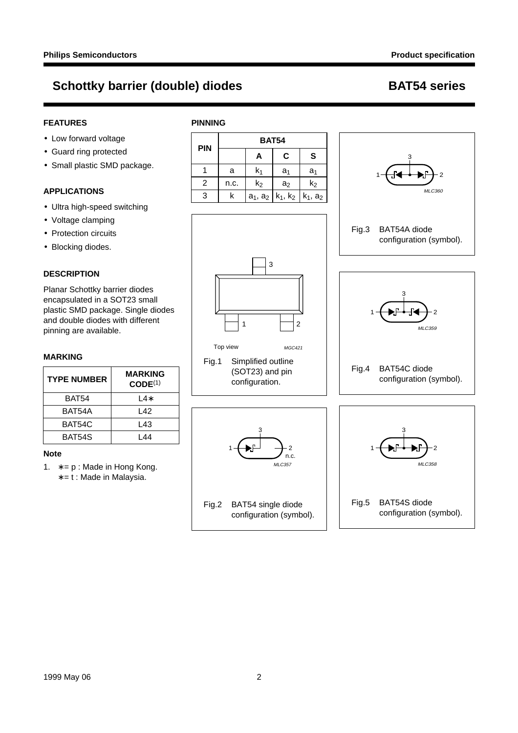### **FEATURES**

- Low forward voltage
- Guard ring protected
- Small plastic SMD package.

### **APPLICATIONS**

- Ultra high-speed switching
- Voltage clamping
- Protection circuits
- Blocking diodes.

### **DESCRIPTION**

Planar Schottky barrier diodes encapsulated in a SOT23 small plastic SMD package. Single diodes and double diodes with different pinning are available.

#### **MARKING**

| <b>TYPE NUMBER</b> | <b>MARKING</b><br>CODE <sup>(1)</sup> |
|--------------------|---------------------------------------|
| BAT54              | l 4*                                  |
| BAT54A             | l 42                                  |
| BAT54C             | L43                                   |
| BAT54S             | l 44                                  |

#### **Note**

- 1. ∗ = p : Made in Hong Kong.
	- ∗ = t : Made in Malaysia.

|            |      | <b>BAT54</b>                  |                |                |
|------------|------|-------------------------------|----------------|----------------|
| <b>PIN</b> |      | Α                             | C              | S              |
|            | a    | k1                            | a <sub>1</sub> | a <sub>1</sub> |
| 2          | n.c. | $k_2$                         | a <sub>2</sub> | $k_2$          |
| 3          | k    | $a_1$ , $a_2$   $k_1$ , $k_2$ |                | $k_1$ , $a_2$  |

Fig.1 Simplified outline (SOT23) and pin configuration.

Fig.2 BAT54 single diode

configuration (symbol).

n.c. MLC357

Top view MGC421

3

1 <del>D</del>P + 2

1  $\Box$  2

3

**PINNING**





MLC358

#### Fig.5 BAT54S diode configuration (symbol).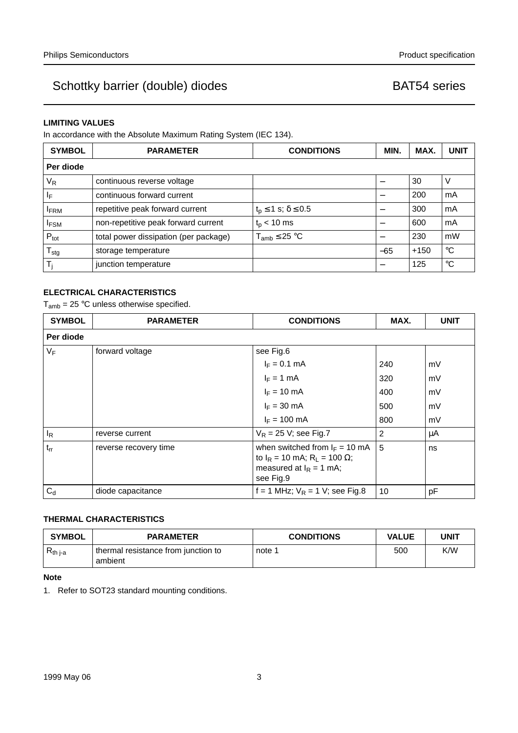#### **LIMITING VALUES**

In accordance with the Absolute Maximum Rating System (IEC 134).

| <b>SYMBOL</b>    | <b>PARAMETER</b>                      | <b>CONDITIONS</b>                   | MIN.  | MAX.   | <b>UNIT</b> |
|------------------|---------------------------------------|-------------------------------------|-------|--------|-------------|
| Per diode        |                                       |                                     |       |        |             |
| V <sub>R</sub>   | continuous reverse voltage            |                                     |       | 30     | V           |
| ΙF               | continuous forward current            |                                     |       | 200    | mA          |
| <b>IFRM</b>      | repetitive peak forward current       | $t_{p} \leq 1$ s; $\delta \leq 0.5$ |       | 300    | mA          |
| <b>IFSM</b>      | non-repetitive peak forward current   | $t_{p}$ < 10 ms                     |       | 600    | mA          |
| $P_{\text{tot}}$ | total power dissipation (per package) | $T_{amb} \leq 25 °C$                |       | 230    | mW          |
| $T_{\text{stg}}$ | storage temperature                   |                                     | $-65$ | $+150$ | $^{\circ}C$ |
|                  | junction temperature                  |                                     |       | 125    | °C          |

### **ELECTRICAL CHARACTERISTICS**

 $T_{amb}$  = 25 °C unless otherwise specified.

| <b>SYMBOL</b> | <b>PARAMETER</b>      | <b>CONDITIONS</b>                                                                                                      | MAX. | <b>UNIT</b> |
|---------------|-----------------------|------------------------------------------------------------------------------------------------------------------------|------|-------------|
| Per diode     |                       |                                                                                                                        |      |             |
| $V_F$         | forward voltage       | see Fig.6                                                                                                              |      |             |
|               |                       | $I_F = 0.1$ mA                                                                                                         | 240  | mV          |
|               |                       | $I_F = 1$ mA                                                                                                           | 320  | mV          |
|               |                       | $I_F = 10$ mA                                                                                                          | 400  | mV          |
|               |                       | $I_F = 30$ mA                                                                                                          | 500  | mV          |
|               |                       | $I_F = 100 \text{ mA}$                                                                                                 | 800  | mV          |
| $I_R$         | reverse current       | $V_R$ = 25 V; see Fig.7                                                                                                | 2    | μA          |
| $t_{rr}$      | reverse recovery time | when switched from $I_F = 10$ mA<br>to $I_R$ = 10 mA; $R_L$ = 100 $\Omega$ ;<br>measured at $I_R = 1$ mA;<br>see Fig.9 | 5    | ns          |
| $C_d$         | diode capacitance     | f = 1 MHz; $V_R$ = 1 V; see Fig.8                                                                                      | 10   | pF          |

### **THERMAL CHARACTERISTICS**

| <b>SYMBOL</b> | <b>PARAMETER</b>                               | <b>CONDITIONS</b> | <b>VALUE</b> | <b>UNIT</b> |
|---------------|------------------------------------------------|-------------------|--------------|-------------|
| $R_{th i-a}$  | thermal resistance from junction to<br>ambient | note 1            | 500          | K/W         |

#### **Note**

1. Refer to SOT23 standard mounting conditions.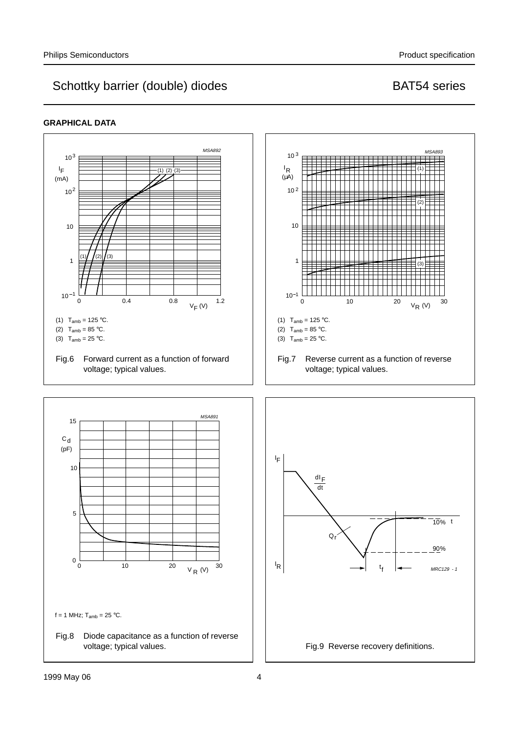#### **GRAPHICAL DATA**

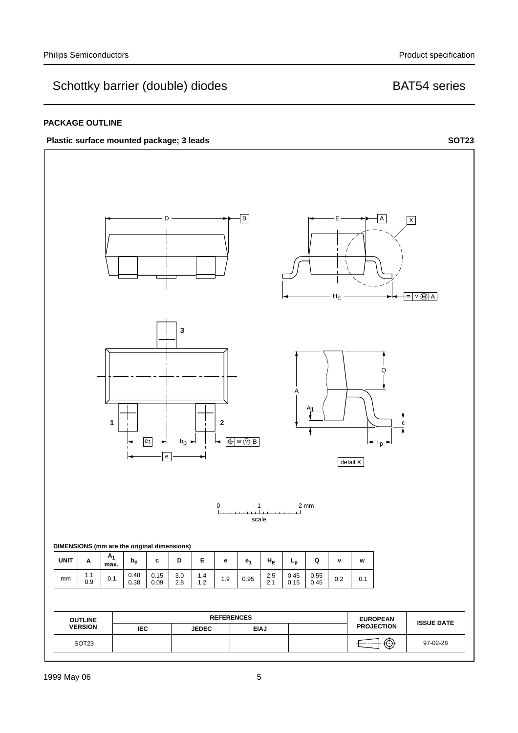#### **PACKAGE OUTLINE**



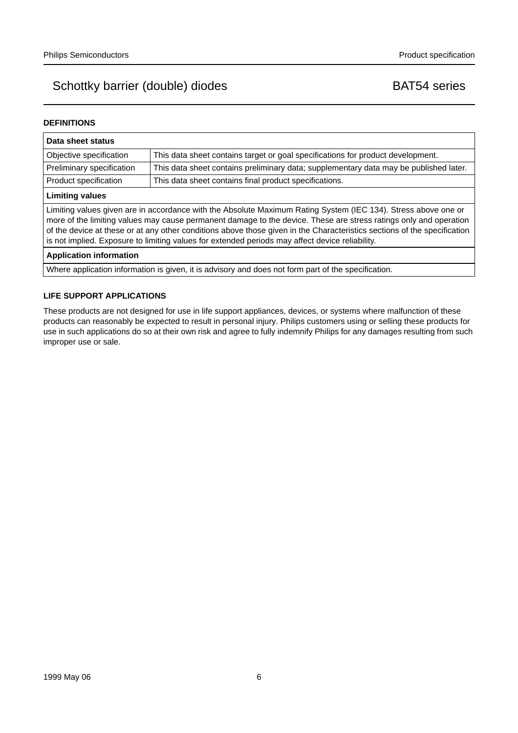#### **DEFINITIONS**

| Data sheet status                                                                                                                                                                                                                                                                                                                                                                                                                                                  |                                                                                       |  |
|--------------------------------------------------------------------------------------------------------------------------------------------------------------------------------------------------------------------------------------------------------------------------------------------------------------------------------------------------------------------------------------------------------------------------------------------------------------------|---------------------------------------------------------------------------------------|--|
| Objective specification                                                                                                                                                                                                                                                                                                                                                                                                                                            | This data sheet contains target or goal specifications for product development.       |  |
| Preliminary specification                                                                                                                                                                                                                                                                                                                                                                                                                                          | This data sheet contains preliminary data; supplementary data may be published later. |  |
| Product specification                                                                                                                                                                                                                                                                                                                                                                                                                                              | This data sheet contains final product specifications.                                |  |
| <b>Limiting values</b>                                                                                                                                                                                                                                                                                                                                                                                                                                             |                                                                                       |  |
| Limiting values given are in accordance with the Absolute Maximum Rating System (IEC 134). Stress above one or<br>more of the limiting values may cause permanent damage to the device. These are stress ratings only and operation<br>of the device at these or at any other conditions above those given in the Characteristics sections of the specification<br>is not implied. Exposure to limiting values for extended periods may affect device reliability. |                                                                                       |  |
| <b>Application information</b>                                                                                                                                                                                                                                                                                                                                                                                                                                     |                                                                                       |  |
| Where application information is given, it is advisory and does not form part of the specification.                                                                                                                                                                                                                                                                                                                                                                |                                                                                       |  |

#### **LIFE SUPPORT APPLICATIONS**

These products are not designed for use in life support appliances, devices, or systems where malfunction of these products can reasonably be expected to result in personal injury. Philips customers using or selling these products for use in such applications do so at their own risk and agree to fully indemnify Philips for any damages resulting from such improper use or sale.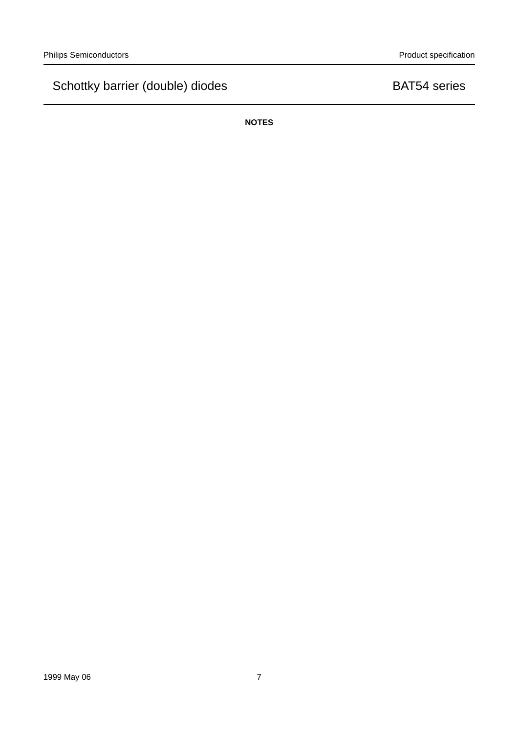**NOTES**